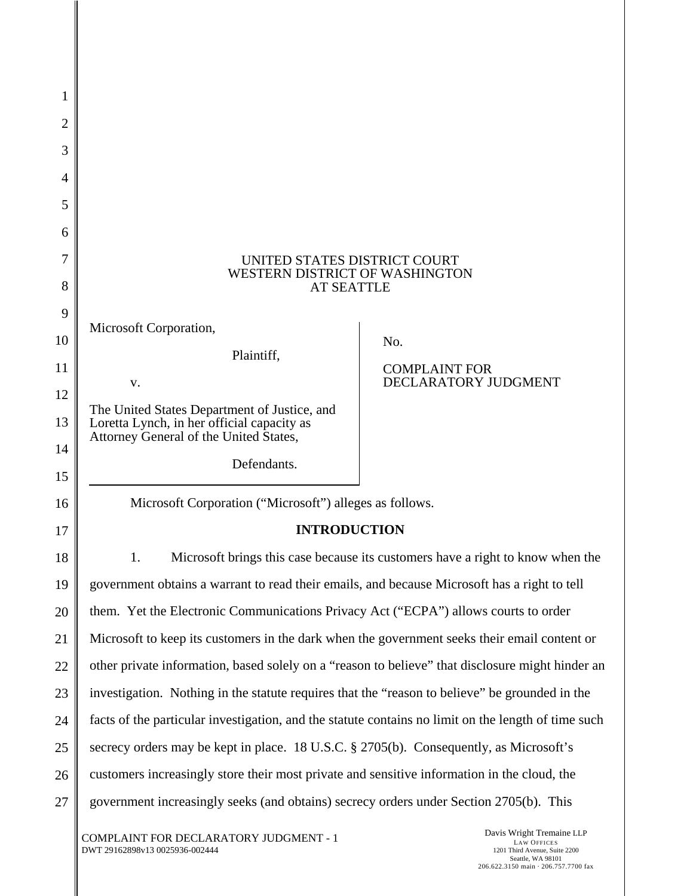| 1              |                                                                                                                                                                                       |                                              |
|----------------|---------------------------------------------------------------------------------------------------------------------------------------------------------------------------------------|----------------------------------------------|
| 2              |                                                                                                                                                                                       |                                              |
| 3              |                                                                                                                                                                                       |                                              |
| $\overline{4}$ |                                                                                                                                                                                       |                                              |
| 5              |                                                                                                                                                                                       |                                              |
| 6              |                                                                                                                                                                                       |                                              |
| 7<br>8         | UNITED STATES DISTRICT COURT<br>WESTERN DISTRICT OF WASHINGTON<br><b>AT SEATTLE</b>                                                                                                   |                                              |
| 9              |                                                                                                                                                                                       |                                              |
| 10             | Microsoft Corporation,<br>Plaintiff,                                                                                                                                                  | No.                                          |
| 11             | V.                                                                                                                                                                                    | <b>COMPLAINT FOR</b><br>DECLARATORY JUDGMENT |
| 12             | The United States Department of Justice, and                                                                                                                                          |                                              |
| 13             | Loretta Lynch, in her official capacity as<br>Attorney General of the United States,                                                                                                  |                                              |
| 14             | Defendants.                                                                                                                                                                           |                                              |
| 15             |                                                                                                                                                                                       |                                              |
| 16             | Microsoft Corporation ("Microsoft") alleges as follows.                                                                                                                               |                                              |
| 17             | <b>INTRODUCTION</b>                                                                                                                                                                   |                                              |
| 18             | Microsoft brings this case because its customers have a right to know when the                                                                                                        |                                              |
| 19             | government obtains a warrant to read their emails, and because Microsoft has a right to tell                                                                                          |                                              |
| 20             | them. Yet the Electronic Communications Privacy Act ("ECPA") allows courts to order                                                                                                   |                                              |
| 21             | Microsoft to keep its customers in the dark when the government seeks their email content or                                                                                          |                                              |
| 22             | other private information, based solely on a "reason to believe" that disclosure might hinder an                                                                                      |                                              |
| 23             | investigation. Nothing in the statute requires that the "reason to believe" be grounded in the                                                                                        |                                              |
| 24             | facts of the particular investigation, and the statute contains no limit on the length of time such                                                                                   |                                              |
| 25             | secrecy orders may be kept in place. 18 U.S.C. § 2705(b). Consequently, as Microsoft's                                                                                                |                                              |
| 26             | customers increasingly store their most private and sensitive information in the cloud, the<br>government increasingly seeks (and obtains) secrecy orders under Section 2705(b). This |                                              |
| 27             |                                                                                                                                                                                       |                                              |

COMPLAINT FOR DECLARATORY JUDGMENT - 1 DWT 29162898v13 0025936-002444

Π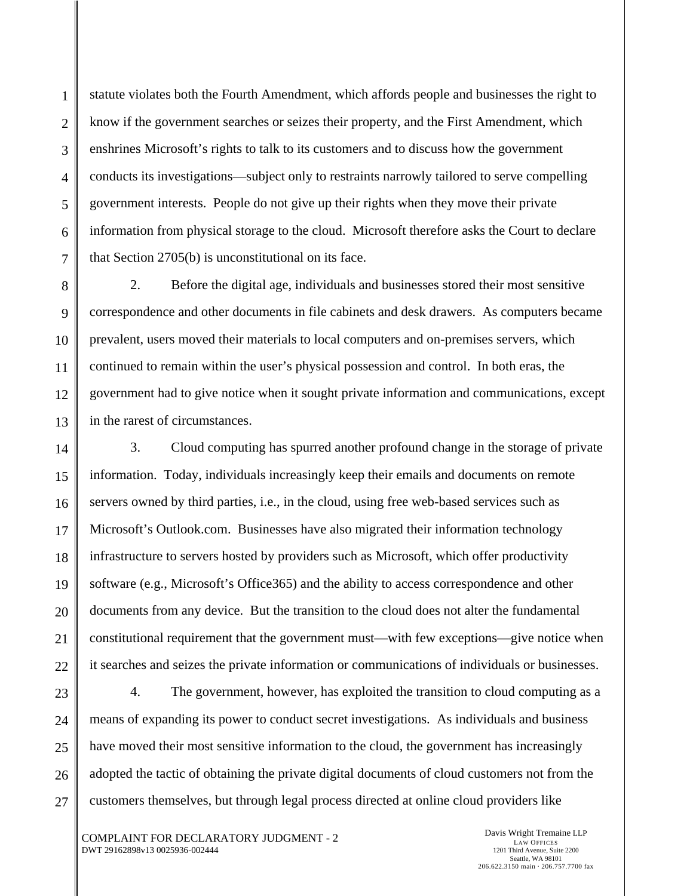statute violates both the Fourth Amendment, which affords people and businesses the right to know if the government searches or seizes their property, and the First Amendment, which enshrines Microsoft's rights to talk to its customers and to discuss how the government conducts its investigations—subject only to restraints narrowly tailored to serve compelling government interests. People do not give up their rights when they move their private information from physical storage to the cloud. Microsoft therefore asks the Court to declare that Section 2705(b) is unconstitutional on its face.

2. Before the digital age, individuals and businesses stored their most sensitive correspondence and other documents in file cabinets and desk drawers. As computers became prevalent, users moved their materials to local computers and on-premises servers, which continued to remain within the user's physical possession and control. In both eras, the government had to give notice when it sought private information and communications, except in the rarest of circumstances.

3. Cloud computing has spurred another profound change in the storage of private information. Today, individuals increasingly keep their emails and documents on remote servers owned by third parties, i.e., in the cloud, using free web-based services such as Microsoft's Outlook.com. Businesses have also migrated their information technology infrastructure to servers hosted by providers such as Microsoft, which offer productivity software (e.g., Microsoft's Office365) and the ability to access correspondence and other documents from any device. But the transition to the cloud does not alter the fundamental constitutional requirement that the government must—with few exceptions—give notice when it searches and seizes the private information or communications of individuals or businesses.

4. The government, however, has exploited the transition to cloud computing as a means of expanding its power to conduct secret investigations. As individuals and business have moved their most sensitive information to the cloud, the government has increasingly adopted the tactic of obtaining the private digital documents of cloud customers not from the customers themselves, but through legal process directed at online cloud providers like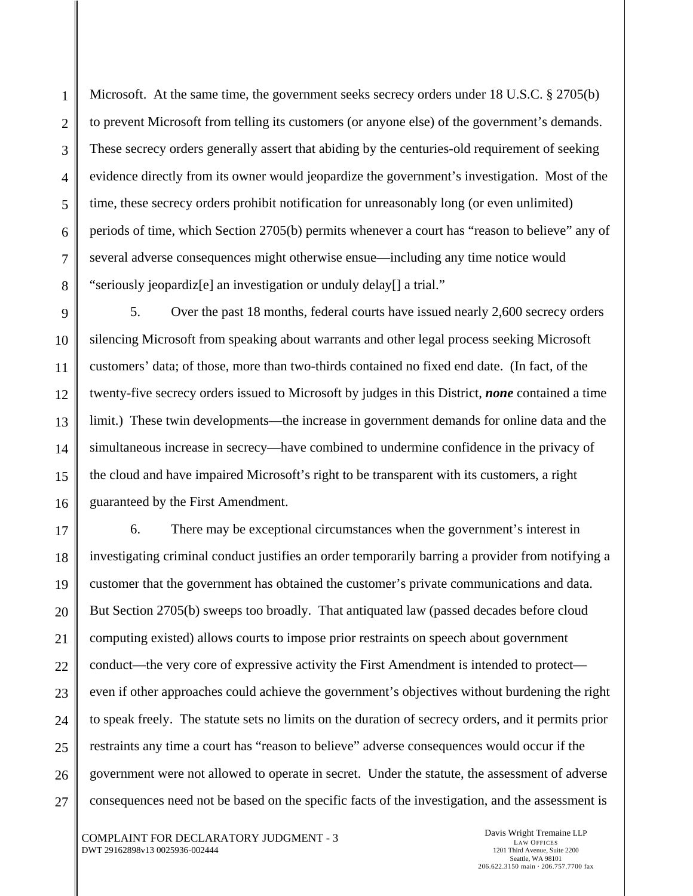Microsoft. At the same time, the government seeks secrecy orders under 18 U.S.C. § 2705(b) to prevent Microsoft from telling its customers (or anyone else) of the government's demands. These secrecy orders generally assert that abiding by the centuries-old requirement of seeking evidence directly from its owner would jeopardize the government's investigation. Most of the time, these secrecy orders prohibit notification for unreasonably long (or even unlimited) periods of time, which Section 2705(b) permits whenever a court has "reason to believe" any of several adverse consequences might otherwise ensue—including any time notice would "seriously jeopardiz[e] an investigation or unduly delay[] a trial."

5. Over the past 18 months, federal courts have issued nearly 2,600 secrecy orders silencing Microsoft from speaking about warrants and other legal process seeking Microsoft customers' data; of those, more than two-thirds contained no fixed end date. (In fact, of the twenty-five secrecy orders issued to Microsoft by judges in this District, *none* contained a time limit.) These twin developments—the increase in government demands for online data and the simultaneous increase in secrecy—have combined to undermine confidence in the privacy of the cloud and have impaired Microsoft's right to be transparent with its customers, a right guaranteed by the First Amendment.

6. There may be exceptional circumstances when the government's interest in investigating criminal conduct justifies an order temporarily barring a provider from notifying a customer that the government has obtained the customer's private communications and data. But Section 2705(b) sweeps too broadly. That antiquated law (passed decades before cloud computing existed) allows courts to impose prior restraints on speech about government conduct—the very core of expressive activity the First Amendment is intended to protect even if other approaches could achieve the government's objectives without burdening the right to speak freely. The statute sets no limits on the duration of secrecy orders, and it permits prior restraints any time a court has "reason to believe" adverse consequences would occur if the government were not allowed to operate in secret. Under the statute, the assessment of adverse consequences need not be based on the specific facts of the investigation, and the assessment is

COMPLAINT FOR DECLARATORY JUDGMENT - 3 DWT 29162898v13 0025936-002444

1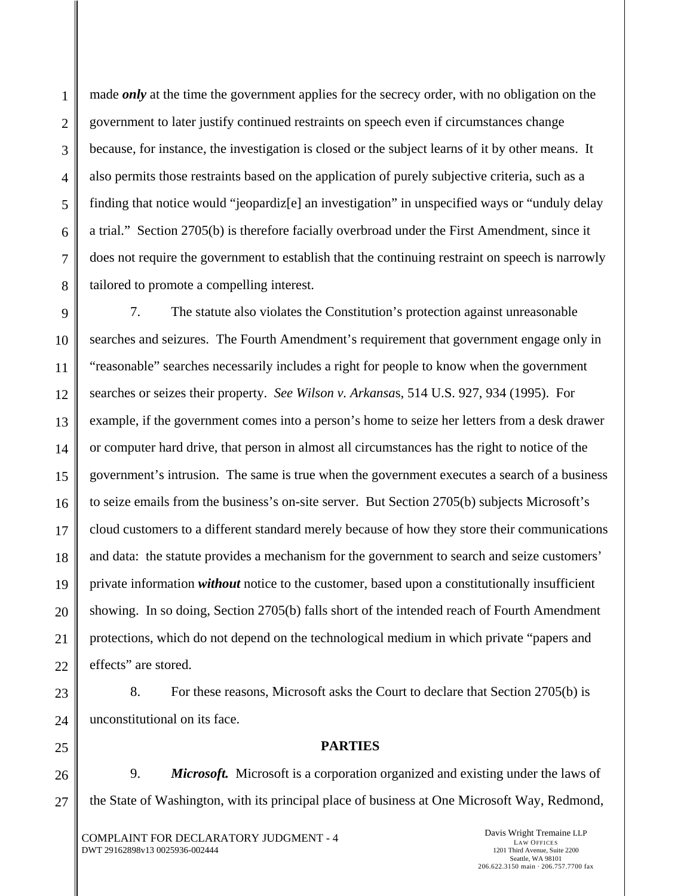1

2

3

made *only* at the time the government applies for the secrecy order, with no obligation on the government to later justify continued restraints on speech even if circumstances change because, for instance, the investigation is closed or the subject learns of it by other means. It also permits those restraints based on the application of purely subjective criteria, such as a finding that notice would "jeopardiz[e] an investigation" in unspecified ways or "unduly delay a trial." Section 2705(b) is therefore facially overbroad under the First Amendment, since it does not require the government to establish that the continuing restraint on speech is narrowly tailored to promote a compelling interest.

7. The statute also violates the Constitution's protection against unreasonable searches and seizures. The Fourth Amendment's requirement that government engage only in "reasonable" searches necessarily includes a right for people to know when the government searches or seizes their property. *See Wilson v. Arkansa*s, 514 U.S. 927, 934 (1995). For example, if the government comes into a person's home to seize her letters from a desk drawer or computer hard drive, that person in almost all circumstances has the right to notice of the government's intrusion. The same is true when the government executes a search of a business to seize emails from the business's on-site server. But Section 2705(b) subjects Microsoft's cloud customers to a different standard merely because of how they store their communications and data: the statute provides a mechanism for the government to search and seize customers' private information *without* notice to the customer, based upon a constitutionally insufficient showing. In so doing, Section 2705(b) falls short of the intended reach of Fourth Amendment protections, which do not depend on the technological medium in which private "papers and effects" are stored.

8. For these reasons, Microsoft asks the Court to declare that Section 2705(b) is unconstitutional on its face.

# **PARTIES**

27 9. *Microsoft.* Microsoft is a corporation organized and existing under the laws of the State of Washington, with its principal place of business at One Microsoft Way, Redmond,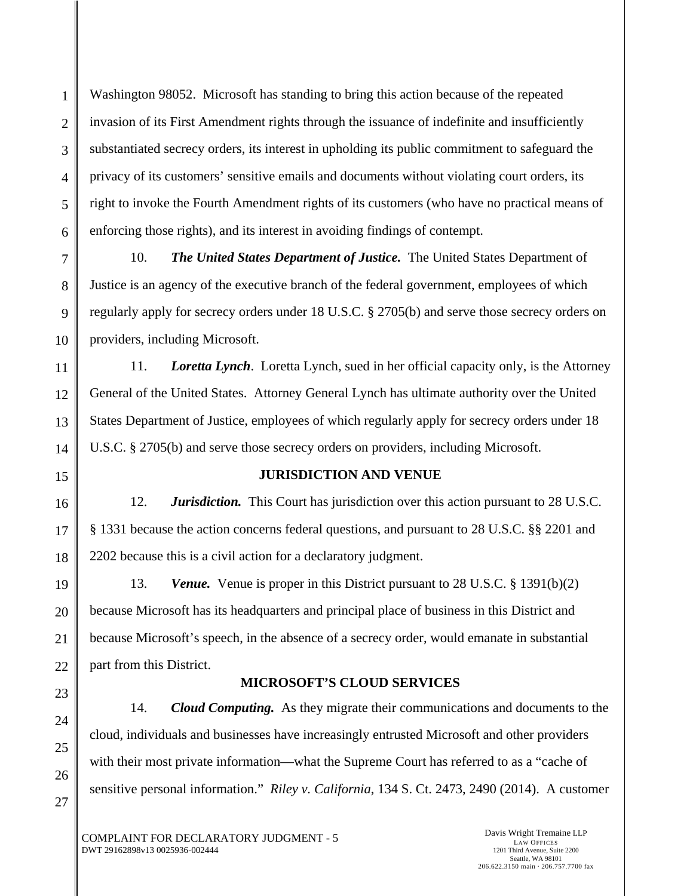Washington 98052. Microsoft has standing to bring this action because of the repeated invasion of its First Amendment rights through the issuance of indefinite and insufficiently substantiated secrecy orders, its interest in upholding its public commitment to safeguard the privacy of its customers' sensitive emails and documents without violating court orders, its right to invoke the Fourth Amendment rights of its customers (who have no practical means of enforcing those rights), and its interest in avoiding findings of contempt.

10. *The United States Department of Justice.* The United States Department of Justice is an agency of the executive branch of the federal government, employees of which regularly apply for secrecy orders under 18 U.S.C. § 2705(b) and serve those secrecy orders on providers, including Microsoft.

11. *Loretta Lynch*. Loretta Lynch, sued in her official capacity only, is the Attorney General of the United States. Attorney General Lynch has ultimate authority over the United States Department of Justice, employees of which regularly apply for secrecy orders under 18 U.S.C. § 2705(b) and serve those secrecy orders on providers, including Microsoft.

# **JURISDICTION AND VENUE**

12. *Jurisdiction.* This Court has jurisdiction over this action pursuant to 28 U.S.C. § 1331 because the action concerns federal questions, and pursuant to 28 U.S.C. §§ 2201 and 2202 because this is a civil action for a declaratory judgment.

13. *Venue.* Venue is proper in this District pursuant to 28 U.S.C. § 1391(b)(2) because Microsoft has its headquarters and principal place of business in this District and because Microsoft's speech, in the absence of a secrecy order, would emanate in substantial part from this District.

## **MICROSOFT'S CLOUD SERVICES**

14. *Cloud Computing.* As they migrate their communications and documents to the cloud, individuals and businesses have increasingly entrusted Microsoft and other providers with their most private information—what the Supreme Court has referred to as a "cache of sensitive personal information." *Riley v. California*, 134 S. Ct. 2473, 2490 (2014). A customer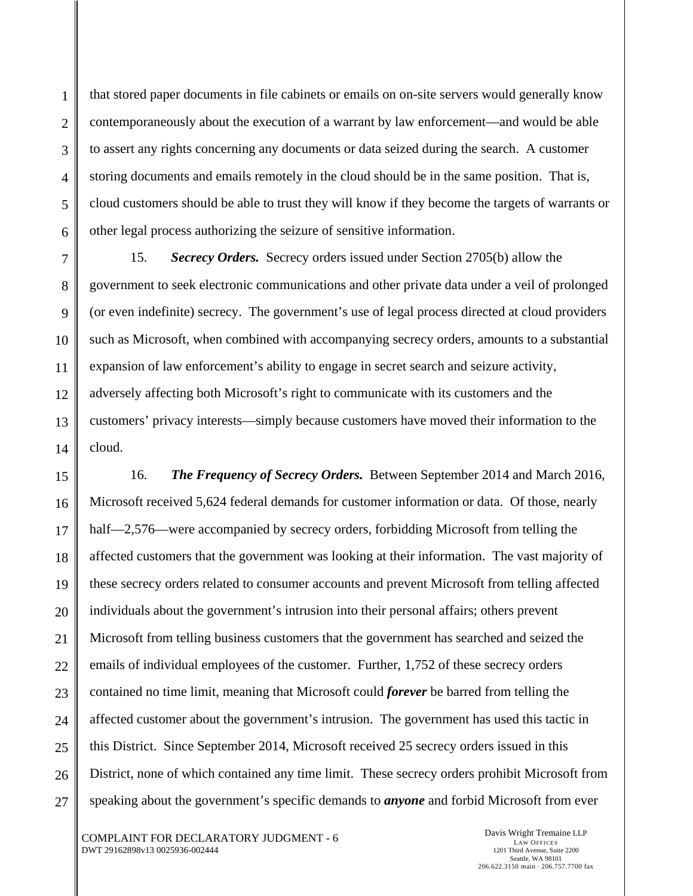that stored paper documents in file cabinets or emails on on-site servers would generally know contemporaneously about the execution of a warrant by law enforcement—and would be able to assert any rights concerning any documents or data seized during the search. A customer storing documents and emails remotely in the cloud should be in the same position. That is, cloud customers should be able to trust they will know if they become the targets of warrants or other legal process authorizing the seizure of sensitive information.

15. *Secrecy Orders.* Secrecy orders issued under Section 2705(b) allow the government to seek electronic communications and other private data under a veil of prolonged (or even indefinite) secrecy. The government's use of legal process directed at cloud providers such as Microsoft, when combined with accompanying secrecy orders, amounts to a substantial expansion of law enforcement's ability to engage in secret search and seizure activity, adversely affecting both Microsoft's right to communicate with its customers and the customers' privacy interests—simply because customers have moved their information to the cloud.

16. *The Frequency of Secrecy Orders.* Between September 2014 and March 2016, Microsoft received 5,624 federal demands for customer information or data. Of those, nearly half—2,576—were accompanied by secrecy orders, forbidding Microsoft from telling the affected customers that the government was looking at their information. The vast majority of these secrecy orders related to consumer accounts and prevent Microsoft from telling affected individuals about the government's intrusion into their personal affairs; others prevent Microsoft from telling business customers that the government has searched and seized the emails of individual employees of the customer. Further, 1,752 of these secrecy orders contained no time limit, meaning that Microsoft could *forever* be barred from telling the affected customer about the government's intrusion. The government has used this tactic in this District. Since September 2014, Microsoft received 25 secrecy orders issued in this District, none of which contained any time limit. These secrecy orders prohibit Microsoft from speaking about the government's specific demands to *anyone* and forbid Microsoft from ever

Davis Wright Tremaine LLP LAW OFFICES 1201 Third Avenue, Suite 2200 Seattle, WA 98101 206.622.3150 main · 206.757.7700 fax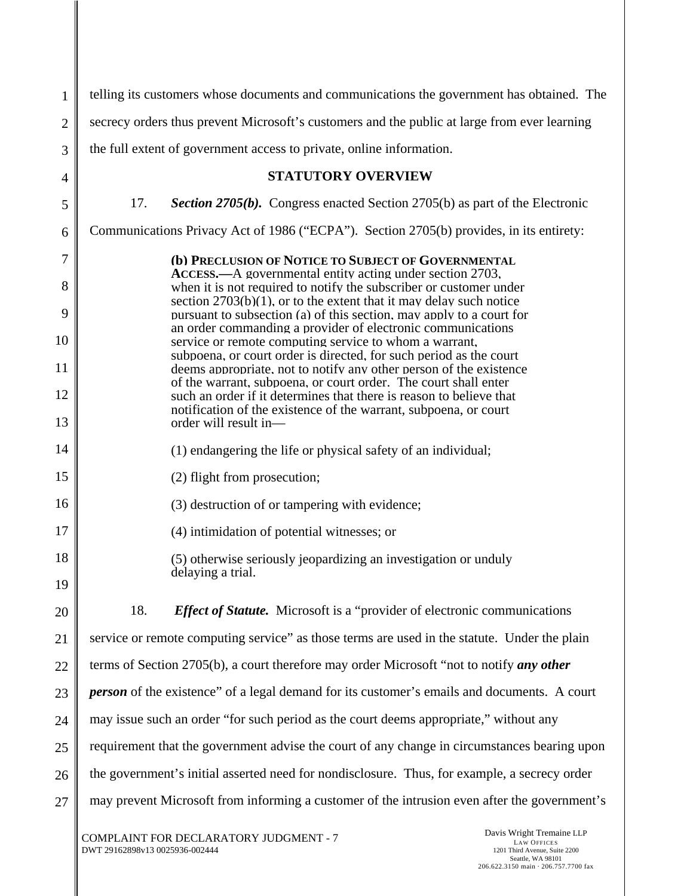| 1            | telling its customers whose documents and communications the government has obtained. The                                                                                                                                                                                                                                                                                                                                                                                                                                                                                                                                                                                                                                       |  |
|--------------|---------------------------------------------------------------------------------------------------------------------------------------------------------------------------------------------------------------------------------------------------------------------------------------------------------------------------------------------------------------------------------------------------------------------------------------------------------------------------------------------------------------------------------------------------------------------------------------------------------------------------------------------------------------------------------------------------------------------------------|--|
| $\mathbf{2}$ | secrecy orders thus prevent Microsoft's customers and the public at large from ever learning                                                                                                                                                                                                                                                                                                                                                                                                                                                                                                                                                                                                                                    |  |
| 3            | the full extent of government access to private, online information.                                                                                                                                                                                                                                                                                                                                                                                                                                                                                                                                                                                                                                                            |  |
| 4            | <b>STATUTORY OVERVIEW</b>                                                                                                                                                                                                                                                                                                                                                                                                                                                                                                                                                                                                                                                                                                       |  |
| 5            | 17.<br><b>Section 2705(b).</b> Congress enacted Section 2705(b) as part of the Electronic                                                                                                                                                                                                                                                                                                                                                                                                                                                                                                                                                                                                                                       |  |
| 6            | Communications Privacy Act of 1986 ("ECPA"). Section 2705(b) provides, in its entirety:                                                                                                                                                                                                                                                                                                                                                                                                                                                                                                                                                                                                                                         |  |
| 7            | (b) PRECLUSION OF NOTICE TO SUBJECT OF GOVERNMENTAL<br>ACCESS.—A governmental entity acting under section 2703,                                                                                                                                                                                                                                                                                                                                                                                                                                                                                                                                                                                                                 |  |
| 8            | when it is not required to notify the subscriber or customer under<br>section $2703(b)(1)$ , or to the extent that it may delay such notice<br>pursuant to subsection (a) of this section, may apply to a court for<br>an order commanding a provider of electronic communications<br>service or remote computing service to whom a warrant,<br>subpoena, or court order is directed, for such period as the court<br>deems appropriate, not to notify any other person of the existence<br>of the warrant, subpoena, or court order. The court shall enter<br>such an order if it determines that there is reason to believe that<br>notification of the existence of the warrant, subpoena, or court<br>order will result in- |  |
| 9            |                                                                                                                                                                                                                                                                                                                                                                                                                                                                                                                                                                                                                                                                                                                                 |  |
| 10           |                                                                                                                                                                                                                                                                                                                                                                                                                                                                                                                                                                                                                                                                                                                                 |  |
| 11           |                                                                                                                                                                                                                                                                                                                                                                                                                                                                                                                                                                                                                                                                                                                                 |  |
| 12<br>13     |                                                                                                                                                                                                                                                                                                                                                                                                                                                                                                                                                                                                                                                                                                                                 |  |
| 14           | (1) endangering the life or physical safety of an individual;                                                                                                                                                                                                                                                                                                                                                                                                                                                                                                                                                                                                                                                                   |  |
| 15           | (2) flight from prosecution;                                                                                                                                                                                                                                                                                                                                                                                                                                                                                                                                                                                                                                                                                                    |  |
| 16           | (3) destruction of or tampering with evidence;                                                                                                                                                                                                                                                                                                                                                                                                                                                                                                                                                                                                                                                                                  |  |
| 17           | (4) intimidation of potential witnesses; or                                                                                                                                                                                                                                                                                                                                                                                                                                                                                                                                                                                                                                                                                     |  |
| 18           | (5) otherwise seriously jeopardizing an investigation or unduly                                                                                                                                                                                                                                                                                                                                                                                                                                                                                                                                                                                                                                                                 |  |
| 19           | delaying a trial.                                                                                                                                                                                                                                                                                                                                                                                                                                                                                                                                                                                                                                                                                                               |  |
| 20           | <b>Effect of Statute.</b> Microsoft is a "provider of electronic communications"<br>18.                                                                                                                                                                                                                                                                                                                                                                                                                                                                                                                                                                                                                                         |  |
| 21           | service or remote computing service" as those terms are used in the statute. Under the plain                                                                                                                                                                                                                                                                                                                                                                                                                                                                                                                                                                                                                                    |  |
| 22           | terms of Section 2705(b), a court therefore may order Microsoft "not to notify any other                                                                                                                                                                                                                                                                                                                                                                                                                                                                                                                                                                                                                                        |  |
| 23           | <i>person</i> of the existence" of a legal demand for its customer's emails and documents. A court                                                                                                                                                                                                                                                                                                                                                                                                                                                                                                                                                                                                                              |  |
| 24           | may issue such an order "for such period as the court deems appropriate," without any                                                                                                                                                                                                                                                                                                                                                                                                                                                                                                                                                                                                                                           |  |
| 25           | requirement that the government advise the court of any change in circumstances bearing upon                                                                                                                                                                                                                                                                                                                                                                                                                                                                                                                                                                                                                                    |  |
| 26           | the government's initial asserted need for nondisclosure. Thus, for example, a secrecy order                                                                                                                                                                                                                                                                                                                                                                                                                                                                                                                                                                                                                                    |  |
| 27           | may prevent Microsoft from informing a customer of the intrusion even after the government's                                                                                                                                                                                                                                                                                                                                                                                                                                                                                                                                                                                                                                    |  |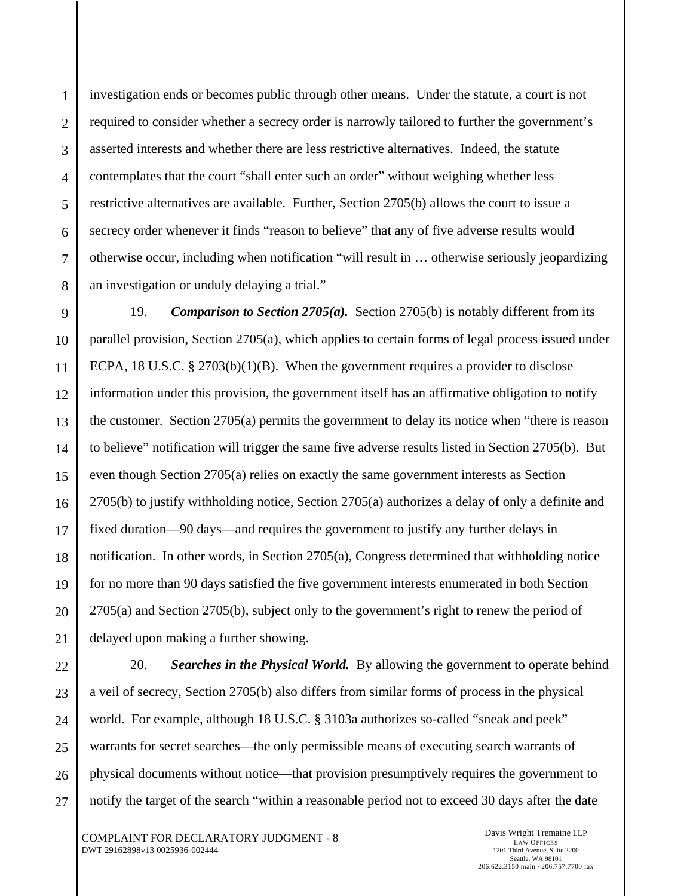investigation ends or becomes public through other means. Under the statute, a court is not required to consider whether a secrecy order is narrowly tailored to further the government's asserted interests and whether there are less restrictive alternatives. Indeed, the statute contemplates that the court "shall enter such an order" without weighing whether less restrictive alternatives are available. Further, Section 2705(b) allows the court to issue a secrecy order whenever it finds "reason to believe" that any of five adverse results would otherwise occur, including when notification "will result in … otherwise seriously jeopardizing an investigation or unduly delaying a trial."

19. *Comparison to Section 2705(a).* Section 2705(b) is notably different from its parallel provision, Section 2705(a), which applies to certain forms of legal process issued under ECPA, 18 U.S.C. § 2703(b)(1)(B). When the government requires a provider to disclose information under this provision, the government itself has an affirmative obligation to notify the customer. Section 2705(a) permits the government to delay its notice when "there is reason to believe" notification will trigger the same five adverse results listed in Section 2705(b). But even though Section 2705(a) relies on exactly the same government interests as Section 2705(b) to justify withholding notice, Section 2705(a) authorizes a delay of only a definite and fixed duration—90 days—and requires the government to justify any further delays in notification. In other words, in Section 2705(a), Congress determined that withholding notice for no more than 90 days satisfied the five government interests enumerated in both Section 2705(a) and Section 2705(b), subject only to the government's right to renew the period of delayed upon making a further showing.

20. *Searches in the Physical World.* By allowing the government to operate behind a veil of secrecy, Section 2705(b) also differs from similar forms of process in the physical world. For example, although 18 U.S.C. § 3103a authorizes so-called "sneak and peek" warrants for secret searches—the only permissible means of executing search warrants of physical documents without notice—that provision presumptively requires the government to notify the target of the search "within a reasonable period not to exceed 30 days after the date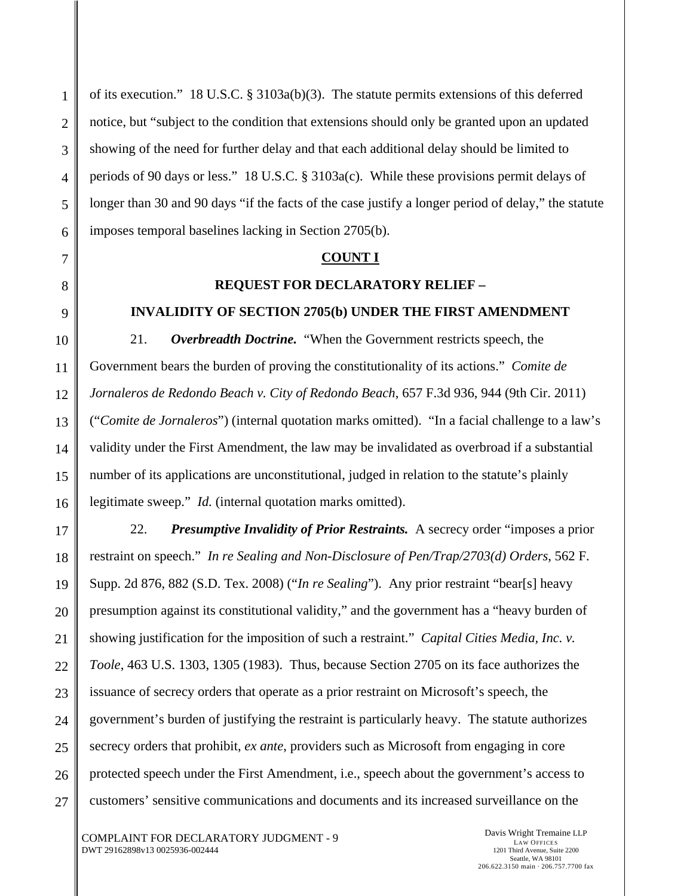of its execution." 18 U.S.C. § 3103a(b)(3). The statute permits extensions of this deferred notice, but "subject to the condition that extensions should only be granted upon an updated showing of the need for further delay and that each additional delay should be limited to periods of 90 days or less." 18 U.S.C. § 3103a(c). While these provisions permit delays of longer than 30 and 90 days "if the facts of the case justify a longer period of delay," the statute imposes temporal baselines lacking in Section 2705(b).

#### **COUNT I**

### **REQUEST FOR DECLARATORY RELIEF –**

### **INVALIDITY OF SECTION 2705(b) UNDER THE FIRST AMENDMENT**

21. *Overbreadth Doctrine.* "When the Government restricts speech, the Government bears the burden of proving the constitutionality of its actions." *Comite de Jornaleros de Redondo Beach v. City of Redondo Beach*, 657 F.3d 936, 944 (9th Cir. 2011) ("*Comite de Jornaleros*") (internal quotation marks omitted). "In a facial challenge to a law's validity under the First Amendment, the law may be invalidated as overbroad if a substantial number of its applications are unconstitutional, judged in relation to the statute's plainly legitimate sweep." *Id.* (internal quotation marks omitted).

22. *Presumptive Invalidity of Prior Restraints.* A secrecy order "imposes a prior restraint on speech." *In re Sealing and Non-Disclosure of Pen/Trap/2703(d) Orders*, 562 F. Supp. 2d 876, 882 (S.D. Tex. 2008) ("*In re Sealing*"). Any prior restraint "bear[s] heavy presumption against its constitutional validity," and the government has a "heavy burden of showing justification for the imposition of such a restraint." *Capital Cities Media, Inc. v. Toole*, 463 U.S. 1303, 1305 (1983). Thus, because Section 2705 on its face authorizes the issuance of secrecy orders that operate as a prior restraint on Microsoft's speech, the government's burden of justifying the restraint is particularly heavy. The statute authorizes secrecy orders that prohibit, *ex ante*, providers such as Microsoft from engaging in core protected speech under the First Amendment, i.e., speech about the government's access to customers' sensitive communications and documents and its increased surveillance on the

COMPLAINT FOR DECLARATORY JUDGMENT - 9 DWT 29162898v13 0025936-002444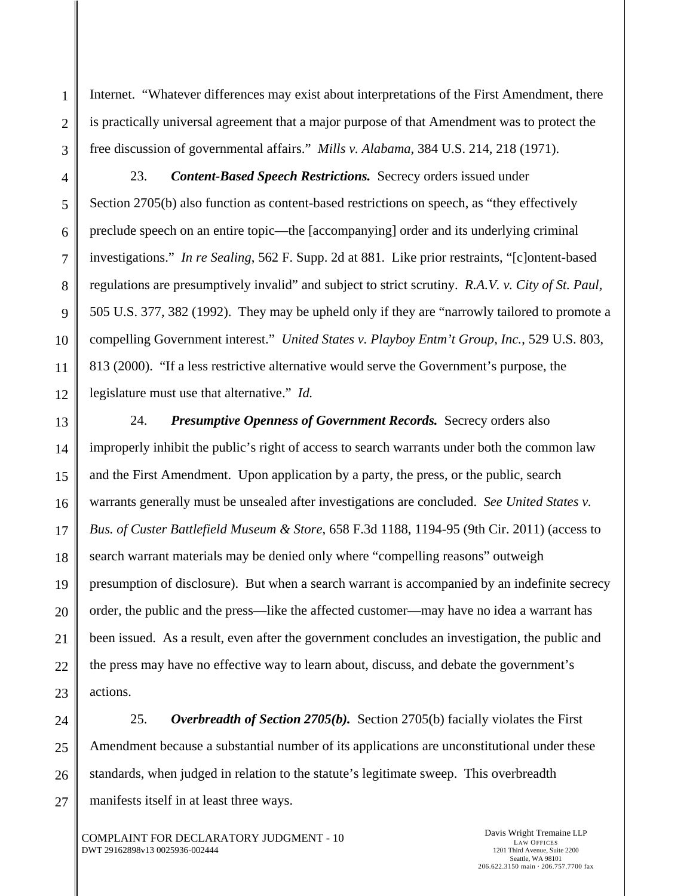Internet. "Whatever differences may exist about interpretations of the First Amendment, there is practically universal agreement that a major purpose of that Amendment was to protect the free discussion of governmental affairs." *Mills v. Alabama*, 384 U.S. 214, 218 (1971).

23. *Content-Based Speech Restrictions.* Secrecy orders issued under Section 2705(b) also function as content-based restrictions on speech, as "they effectively preclude speech on an entire topic—the [accompanying] order and its underlying criminal investigations." *In re Sealing*, 562 F. Supp. 2d at 881. Like prior restraints, "[c]ontent-based regulations are presumptively invalid" and subject to strict scrutiny. *R.A.V. v. City of St. Paul,* 505 U.S. 377, 382 (1992). They may be upheld only if they are "narrowly tailored to promote a compelling Government interest." *United States v. Playboy Entm't Group, Inc.*, 529 U.S. 803, 813 (2000). "If a less restrictive alternative would serve the Government's purpose, the legislature must use that alternative." *Id.*

24. *Presumptive Openness of Government Records.* Secrecy orders also improperly inhibit the public's right of access to search warrants under both the common law and the First Amendment. Upon application by a party, the press, or the public, search warrants generally must be unsealed after investigations are concluded. *See United States v. Bus. of Custer Battlefield Museum & Store*, 658 F.3d 1188, 1194-95 (9th Cir. 2011) (access to search warrant materials may be denied only where "compelling reasons" outweigh presumption of disclosure). But when a search warrant is accompanied by an indefinite secrecy order, the public and the press—like the affected customer—may have no idea a warrant has been issued. As a result, even after the government concludes an investigation, the public and the press may have no effective way to learn about, discuss, and debate the government's actions.

25. *Overbreadth of Section 2705(b).* Section 2705(b) facially violates the First Amendment because a substantial number of its applications are unconstitutional under these standards, when judged in relation to the statute's legitimate sweep. This overbreadth manifests itself in at least three ways.

COMPLAINT FOR DECLARATORY JUDGMENT - 10 DWT 29162898v13 0025936-002444

Davis Wright Tremaine LLP LAW OFFICES 1201 Third Avenue, Suite 2200 Seattle, WA 98101 206.622.3150 main · 206.757.7700 fax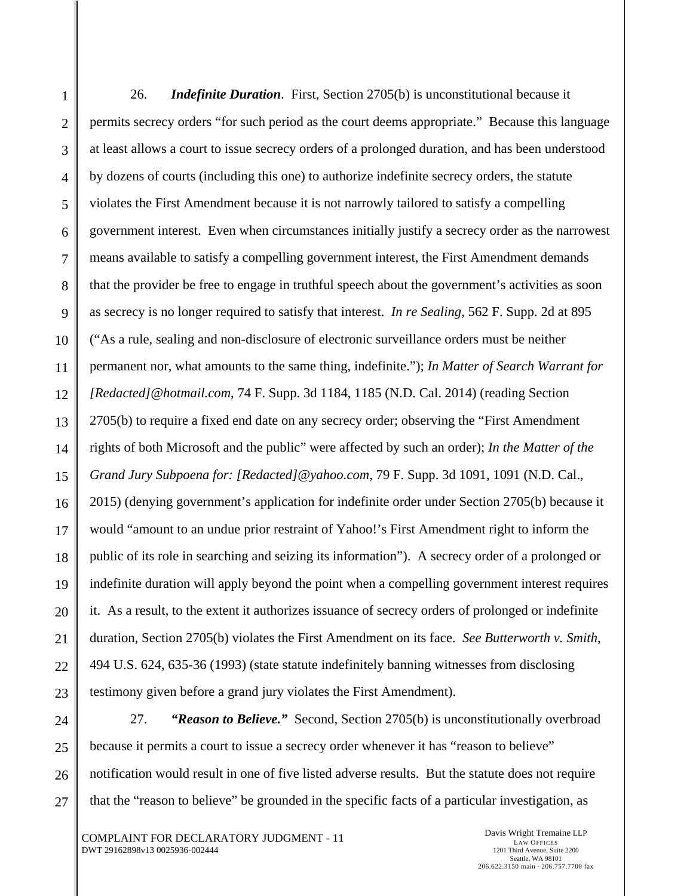1 2 3 4 5 6 7 8 9 10 11 12 13 14 15 16 17 18 19 20 21 22 23 24 25 26 27 26. *Indefinite Duration*. First, Section 2705(b) is unconstitutional because it permits secrecy orders "for such period as the court deems appropriate." Because this language at least allows a court to issue secrecy orders of a prolonged duration, and has been understood by dozens of courts (including this one) to authorize indefinite secrecy orders, the statute violates the First Amendment because it is not narrowly tailored to satisfy a compelling government interest. Even when circumstances initially justify a secrecy order as the narrowest means available to satisfy a compelling government interest, the First Amendment demands that the provider be free to engage in truthful speech about the government's activities as soon as secrecy is no longer required to satisfy that interest. *In re Sealing*, 562 F. Supp. 2d at 895 ("As a rule, sealing and non-disclosure of electronic surveillance orders must be neither permanent nor, what amounts to the same thing, indefinite."); *In Matter of Search Warrant for [Redacted]@hotmail.com*, 74 F. Supp. 3d 1184, 1185 (N.D. Cal. 2014) (reading Section 2705(b) to require a fixed end date on any secrecy order; observing the "First Amendment rights of both Microsoft and the public" were affected by such an order); *In the Matter of the Grand Jury Subpoena for: [Redacted]@yahoo.com*, 79 F. Supp. 3d 1091, 1091 (N.D. Cal., 2015) (denying government's application for indefinite order under Section 2705(b) because it would "amount to an undue prior restraint of Yahoo!'s First Amendment right to inform the public of its role in searching and seizing its information"). A secrecy order of a prolonged or indefinite duration will apply beyond the point when a compelling government interest requires it. As a result, to the extent it authorizes issuance of secrecy orders of prolonged or indefinite duration, Section 2705(b) violates the First Amendment on its face. *See Butterworth v. Smith*, 494 U.S. 624, 635-36 (1993) (state statute indefinitely banning witnesses from disclosing testimony given before a grand jury violates the First Amendment).

27. *"Reason to Believe."* Second, Section 2705(b) is unconstitutionally overbroad because it permits a court to issue a secrecy order whenever it has "reason to believe" notification would result in one of five listed adverse results. But the statute does not require that the "reason to believe" be grounded in the specific facts of a particular investigation, as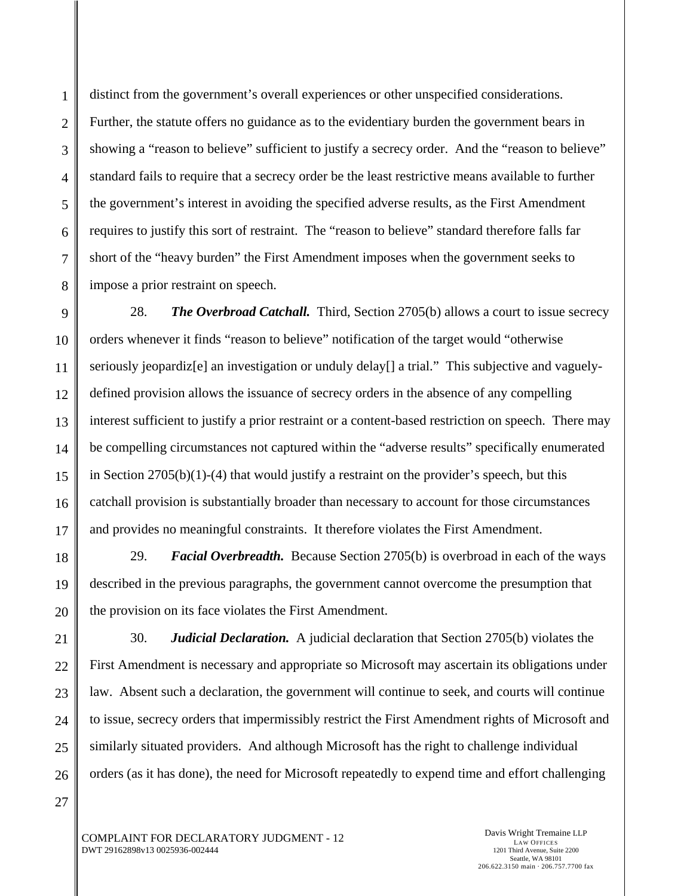1 distinct from the government's overall experiences or other unspecified considerations. Further, the statute offers no guidance as to the evidentiary burden the government bears in showing a "reason to believe" sufficient to justify a secrecy order. And the "reason to believe" standard fails to require that a secrecy order be the least restrictive means available to further the government's interest in avoiding the specified adverse results, as the First Amendment requires to justify this sort of restraint. The "reason to believe" standard therefore falls far short of the "heavy burden" the First Amendment imposes when the government seeks to impose a prior restraint on speech. 28. *The Overbroad Catchall.* Third, Section 2705(b) allows a court to issue secrecy

orders whenever it finds "reason to believe" notification of the target would "otherwise seriously jeopardiz[e] an investigation or unduly delay[] a trial." This subjective and vaguelydefined provision allows the issuance of secrecy orders in the absence of any compelling interest sufficient to justify a prior restraint or a content-based restriction on speech. There may be compelling circumstances not captured within the "adverse results" specifically enumerated in Section  $2705(b)(1)-(4)$  that would justify a restraint on the provider's speech, but this catchall provision is substantially broader than necessary to account for those circumstances and provides no meaningful constraints. It therefore violates the First Amendment.

29. *Facial Overbreadth.* Because Section 2705(b) is overbroad in each of the ways described in the previous paragraphs, the government cannot overcome the presumption that the provision on its face violates the First Amendment.

30. *Judicial Declaration.* A judicial declaration that Section 2705(b) violates the First Amendment is necessary and appropriate so Microsoft may ascertain its obligations under law. Absent such a declaration, the government will continue to seek, and courts will continue to issue, secrecy orders that impermissibly restrict the First Amendment rights of Microsoft and similarly situated providers. And although Microsoft has the right to challenge individual orders (as it has done), the need for Microsoft repeatedly to expend time and effort challenging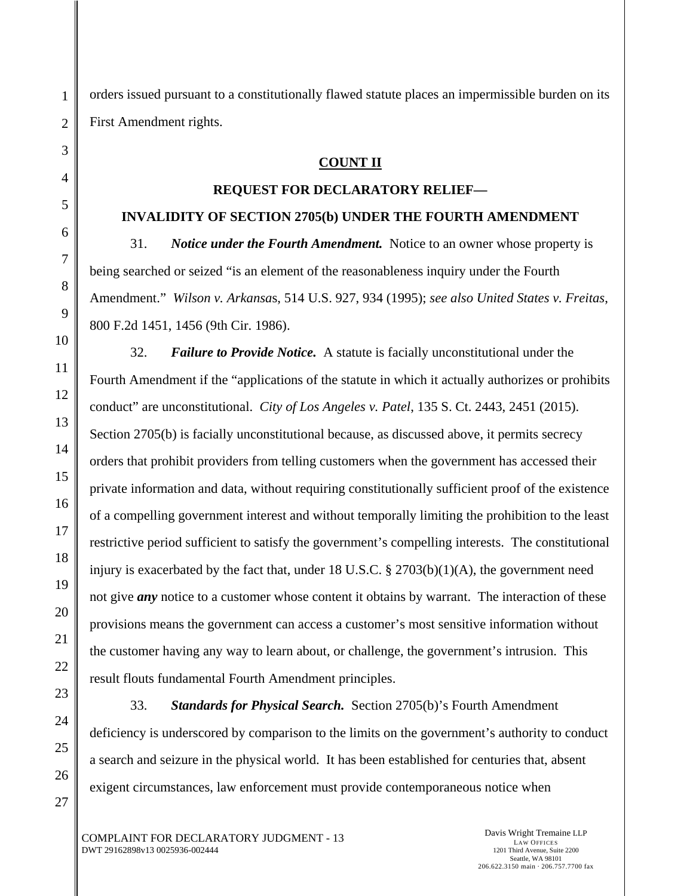orders issued pursuant to a constitutionally flawed statute places an impermissible burden on its First Amendment rights.

# **COUNT II**

## **REQUEST FOR DECLARATORY RELIEF—**

## **INVALIDITY OF SECTION 2705(b) UNDER THE FOURTH AMENDMENT**

31. *Notice under the Fourth Amendment.* Notice to an owner whose property is being searched or seized "is an element of the reasonableness inquiry under the Fourth Amendment." *Wilson v. Arkansa*s, 514 U.S. 927, 934 (1995); *see also United States v. Freitas*, 800 F.2d 1451, 1456 (9th Cir. 1986).

32. *Failure to Provide Notice.* A statute is facially unconstitutional under the Fourth Amendment if the "applications of the statute in which it actually authorizes or prohibits conduct" are unconstitutional. *City of Los Angeles v. Patel*, 135 S. Ct. 2443, 2451 (2015). Section 2705(b) is facially unconstitutional because, as discussed above, it permits secrecy orders that prohibit providers from telling customers when the government has accessed their private information and data, without requiring constitutionally sufficient proof of the existence of a compelling government interest and without temporally limiting the prohibition to the least restrictive period sufficient to satisfy the government's compelling interests. The constitutional injury is exacerbated by the fact that, under  $18$  U.S.C. §  $2703(b)(1)(A)$ , the government need not give *any* notice to a customer whose content it obtains by warrant. The interaction of these provisions means the government can access a customer's most sensitive information without the customer having any way to learn about, or challenge, the government's intrusion. This result flouts fundamental Fourth Amendment principles.

33. *Standards for Physical Search.* Section 2705(b)'s Fourth Amendment deficiency is underscored by comparison to the limits on the government's authority to conduct a search and seizure in the physical world. It has been established for centuries that, absent exigent circumstances, law enforcement must provide contemporaneous notice when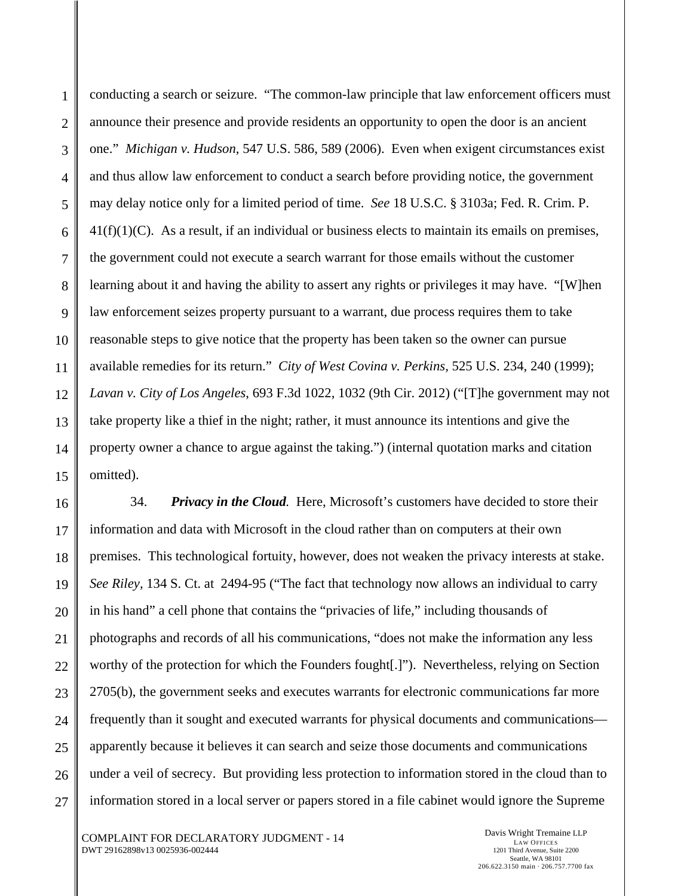conducting a search or seizure. "The common-law principle that law enforcement officers must announce their presence and provide residents an opportunity to open the door is an ancient one." *Michigan v. Hudson*, 547 U.S. 586, 589 (2006). Even when exigent circumstances exist and thus allow law enforcement to conduct a search before providing notice, the government may delay notice only for a limited period of time. *See* 18 U.S.C. § 3103a; Fed. R. Crim. P.  $41(f)(1)(C)$ . As a result, if an individual or business elects to maintain its emails on premises, the government could not execute a search warrant for those emails without the customer learning about it and having the ability to assert any rights or privileges it may have. "[W]hen law enforcement seizes property pursuant to a warrant, due process requires them to take reasonable steps to give notice that the property has been taken so the owner can pursue available remedies for its return." *City of West Covina v. Perkins*, 525 U.S. 234, 240 (1999); *Lavan v. City of Los Angeles*, 693 F.3d 1022, 1032 (9th Cir. 2012) ("[T]he government may not take property like a thief in the night; rather, it must announce its intentions and give the property owner a chance to argue against the taking.") (internal quotation marks and citation omitted).

34. *Privacy in the Cloud.* Here, Microsoft's customers have decided to store their information and data with Microsoft in the cloud rather than on computers at their own premises. This technological fortuity, however, does not weaken the privacy interests at stake. *See Riley,* 134 S. Ct. at 2494-95 ("The fact that technology now allows an individual to carry in his hand" a cell phone that contains the "privacies of life," including thousands of photographs and records of all his communications, "does not make the information any less worthy of the protection for which the Founders fought[.]"). Nevertheless, relying on Section 2705(b), the government seeks and executes warrants for electronic communications far more frequently than it sought and executed warrants for physical documents and communications apparently because it believes it can search and seize those documents and communications under a veil of secrecy. But providing less protection to information stored in the cloud than to information stored in a local server or papers stored in a file cabinet would ignore the Supreme

COMPLAINT FOR DECLARATORY JUDGMENT - 14 DWT 29162898v13 0025936-002444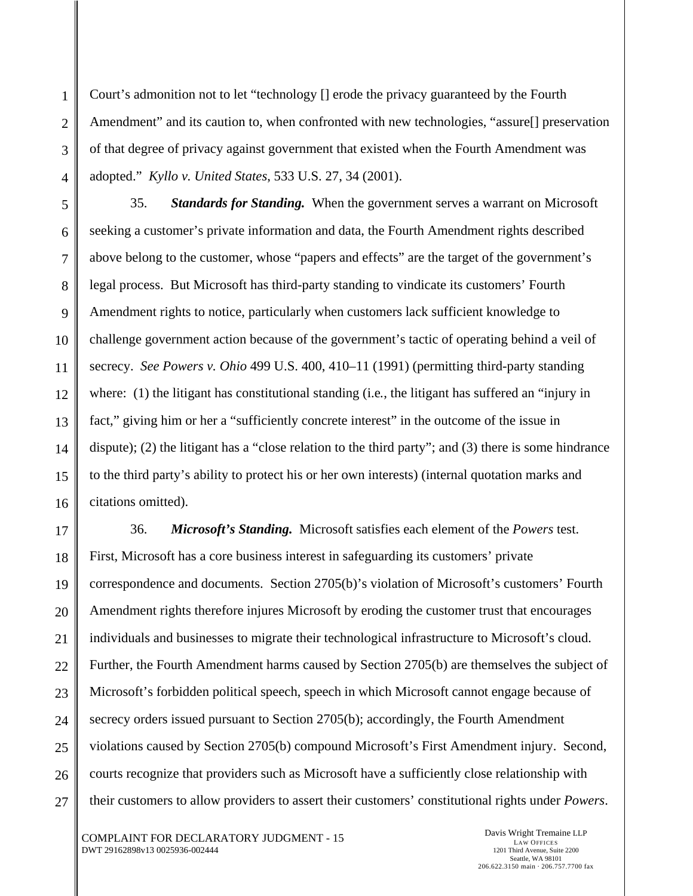Court's admonition not to let "technology [] erode the privacy guaranteed by the Fourth Amendment" and its caution to, when confronted with new technologies, "assure[] preservation of that degree of privacy against government that existed when the Fourth Amendment was adopted." *Kyllo v. United States*, 533 U.S. 27, 34 (2001).

35. *Standards for Standing.* When the government serves a warrant on Microsoft seeking a customer's private information and data, the Fourth Amendment rights described above belong to the customer, whose "papers and effects" are the target of the government's legal process. But Microsoft has third-party standing to vindicate its customers' Fourth Amendment rights to notice, particularly when customers lack sufficient knowledge to challenge government action because of the government's tactic of operating behind a veil of secrecy. *See Powers v. Ohio* 499 U.S. 400, 410–11 (1991) (permitting third-party standing where: (1) the litigant has constitutional standing (i.e., the litigant has suffered an "injury in fact," giving him or her a "sufficiently concrete interest" in the outcome of the issue in dispute); (2) the litigant has a "close relation to the third party"; and (3) there is some hindrance to the third party's ability to protect his or her own interests) (internal quotation marks and citations omitted).

36. *Microsoft's Standing.* Microsoft satisfies each element of the *Powers* test. First, Microsoft has a core business interest in safeguarding its customers' private correspondence and documents. Section 2705(b)'s violation of Microsoft's customers' Fourth Amendment rights therefore injures Microsoft by eroding the customer trust that encourages individuals and businesses to migrate their technological infrastructure to Microsoft's cloud. Further, the Fourth Amendment harms caused by Section 2705(b) are themselves the subject of Microsoft's forbidden political speech, speech in which Microsoft cannot engage because of secrecy orders issued pursuant to Section 2705(b); accordingly, the Fourth Amendment violations caused by Section 2705(b) compound Microsoft's First Amendment injury. Second, courts recognize that providers such as Microsoft have a sufficiently close relationship with their customers to allow providers to assert their customers' constitutional rights under *Powers*.

COMPLAINT FOR DECLARATORY JUDGMENT - 15 DWT 29162898v13 0025936-002444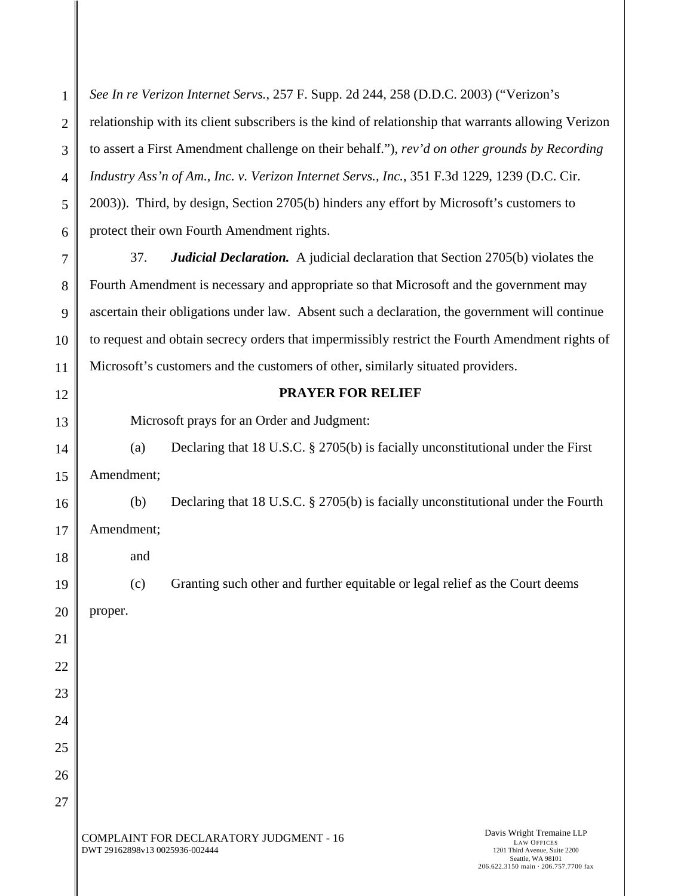1 2 3 4 5 6 7 8 9 *See In re Verizon Internet Servs.*, 257 F. Supp. 2d 244, 258 (D.D.C. 2003) ("Verizon's relationship with its client subscribers is the kind of relationship that warrants allowing Verizon to assert a First Amendment challenge on their behalf."), *rev'd on other grounds by Recording Industry Ass'n of Am., Inc. v. Verizon Internet Servs., Inc.*, 351 F.3d 1229, 1239 (D.C. Cir. 2003)). Third, by design, Section 2705(b) hinders any effort by Microsoft's customers to protect their own Fourth Amendment rights. 37. *Judicial Declaration.* A judicial declaration that Section 2705(b) violates the Fourth Amendment is necessary and appropriate so that Microsoft and the government may ascertain their obligations under law. Absent such a declaration, the government will continue

10 11 to request and obtain secrecy orders that impermissibly restrict the Fourth Amendment rights of Microsoft's customers and the customers of other, similarly situated providers.

**PRAYER FOR RELIEF** 

Microsoft prays for an Order and Judgment:

14 15 (a) Declaring that 18 U.S.C. § 2705(b) is facially unconstitutional under the First Amendment;

(b) Declaring that 18 U.S.C. § 2705(b) is facially unconstitutional under the Fourth Amendment;

and

(c) Granting such other and further equitable or legal relief as the Court deems

20 proper.

12

13

16

17

18

19

21

22

23

24

25

26

27

COMPLAINT FOR DECLARATORY JUDGMENT - 16 DWT 29162898v13 0025936-002444

Davis Wright Tremaine LLP LAW OFFICES 1201 Third Avenue, Suite 2200 Seattle, WA 98101 206.622.3150 main · 206.757.7700 fax